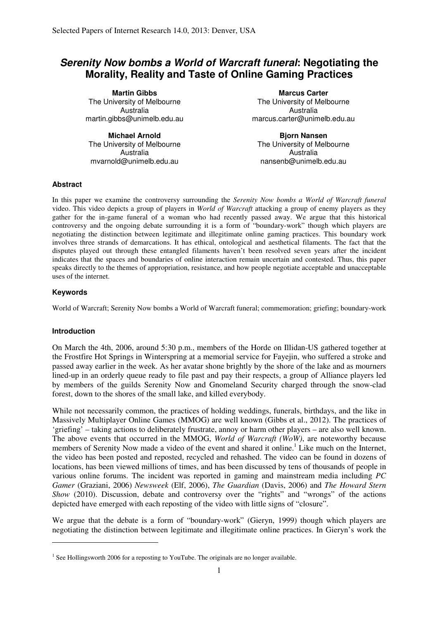# **Serenity Now bombs a World of Warcraft funeral: Negotiating the Morality, Reality and Taste of Online Gaming Practices**

**Martin Gibbs** The University of Melbourne Australia martin.gibbs@unimelb.edu.au

**Michael Arnold** The University of Melbourne Australia mvarnold@unimelb.edu.au

**Marcus Carter** The University of Melbourne Australia marcus.carter@unimelb.edu.au

**Bjorn Nansen** The University of Melbourne Australia nansenb@unimelb.edu.au

### **Abstract**

In this paper we examine the controversy surrounding the *Serenity Now bombs a World of Warcraft funeral* video. This video depicts a group of players in *World of Warcraft* attacking a group of enemy players as they gather for the in-game funeral of a woman who had recently passed away. We argue that this historical controversy and the ongoing debate surrounding it is a form of "boundary-work" though which players are negotiating the distinction between legitimate and illegitimate online gaming practices. This boundary work involves three strands of demarcations. It has ethical, ontological and aesthetical filaments. The fact that the disputes played out through these entangled filaments haven't been resolved seven years after the incident indicates that the spaces and boundaries of online interaction remain uncertain and contested. Thus, this paper speaks directly to the themes of appropriation, resistance, and how people negotiate acceptable and unacceptable uses of the internet.

### **Keywords**

World of Warcraft; Serenity Now bombs a World of Warcraft funeral; commemoration; griefing; boundary-work

### **Introduction**

 $\overline{a}$ 

On March the 4th, 2006, around 5:30 p.m., members of the Horde on Illidan-US gathered together at the Frostfire Hot Springs in Winterspring at a memorial service for Fayejin, who suffered a stroke and passed away earlier in the week. As her avatar shone brightly by the shore of the lake and as mourners lined-up in an orderly queue ready to file past and pay their respects, a group of Alliance players led by members of the guilds Serenity Now and Gnomeland Security charged through the snow-clad forest, down to the shores of the small lake, and killed everybody.

While not necessarily common, the practices of holding weddings, funerals, birthdays, and the like in Massively Multiplayer Online Games (MMOG) are well known (Gibbs et al., 2012). The practices of 'griefing' – taking actions to deliberately frustrate, annoy or harm other players – are also well known. The above events that occurred in the MMOG, *World of Warcraft (WoW)*, are noteworthy because members of Serenity Now made a video of the event and shared it online.<sup>1</sup> Like much on the Internet, the video has been posted and reposted, recycled and rehashed. The video can be found in dozens of locations, has been viewed millions of times, and has been discussed by tens of thousands of people in various online forums. The incident was reported in gaming and mainstream media including *PC Gamer* (Graziani, 2006) *Newsweek* (Elf, 2006), *The Guardian* (Davis, 2006) and *The Howard Stern Show* (2010). Discussion, debate and controversy over the "rights" and "wrongs" of the actions depicted have emerged with each reposting of the video with little signs of "closure".

We argue that the debate is a form of "boundary-work" (Gieryn, 1999) though which players are negotiating the distinction between legitimate and illegitimate online practices. In Gieryn's work the

 $<sup>1</sup>$  See Hollingsworth 2006 for a reposting to YouTube. The originals are no longer available.</sup>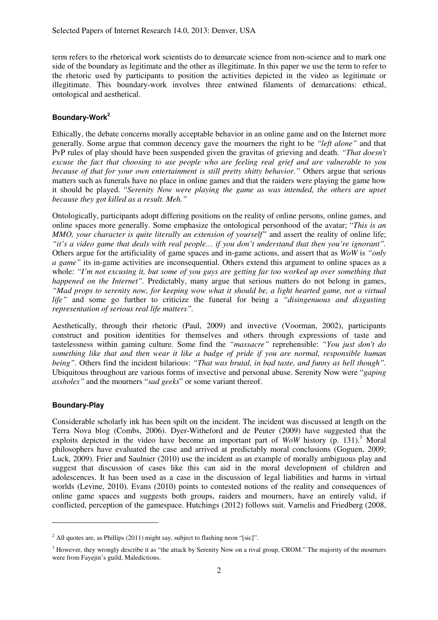term refers to the rhetorical work scientists do to demarcate science from non-science and to mark one side of the boundary as legitimate and the other as illegitimate. In this paper we use the term to refer to the rhetoric used by participants to position the activities depicted in the video as legitimate or illegitimate. This boundary-work involves three entwined filaments of demarcations: ethical, ontological and aesthetical.

## **Boundary-Work<sup>2</sup>**

Ethically, the debate concerns morally acceptable behavior in an online game and on the Internet more generally. Some argue that common decency gave the mourners the right to be *"left alone"* and that PvP rules of play should have been suspended given the gravitas of grieving and death. *"That doesn't excuse the fact that choosing to use people who are feeling real grief and are vulnerable to you because of that for your own entertainment is still pretty shitty behavior."* Others argue that serious matters such as funerals have no place in online games and that the raiders were playing the game how it should be played. "*Serenity Now were playing the game as was intended, the others are upset because they got killed as a result. Meh."*

Ontologically, participants adopt differing positions on the reality of online persons, online games, and online spaces more generally. Some emphasize the ontological personhood of the avatar; "*This is an MMO, your character is quite literally an extension of yourself"* and assert the reality of online life; *"it's a video game that deals with real people… if you don't understand that then you're ignorant".* Others argue for the artificiality of game spaces and in-game actions, and assert that as *WoW* is *"only a game*" its in-game activities are inconsequential. Others extend this argument to online spaces as a whole: *"I'm not excusing it, but some of you guys are getting far too worked up over something that happened on the Internet"*. Predictably, many argue that serious matters do not belong in games. *"Mad props to serenity now, for keeping wow what it should be, a light hearted game, not a virtual life"* and some go further to criticize the funeral for being a *"disingenuous and disgusting representation of serious real life matters".*

Aesthetically, through their rhetoric (Paul, 2009) and invective (Voorman, 2002), participants construct and position identities for themselves and others through expressions of taste and tastelessness within gaming culture. Some find the *"massacre"* reprehensible: *"You just don't do something like that and then wear it like a badge of pride if you are normal, responsible human being".* Others find the incident hilarious: *"That was brutal, in bad taste, and funny as hell though".*  Ubiquitous throughout are various forms of invective and personal abuse. Serenity Now were "*gaping assholes"* and the mourners "*sad geeks*" or some variant thereof.

### **Boundary-Play**

 $\overline{a}$ 

Considerable scholarly ink has been spilt on the incident. The incident was discussed at length on the Terra Nova blog (Combs, 2006). Dyer-Witheford and de Peuter (2009) have suggested that the exploits depicted in the video have become an important part of  $WoW$  history (p. 131).<sup>3</sup> Moral philosophers have evaluated the case and arrived at predictably moral conclusions (Goguen, 2009; Luck, 2009). Frier and Saulnier (2010) use the incident as an example of morally ambiguous play and suggest that discussion of cases like this can aid in the moral development of children and adolescences. It has been used as a case in the discussion of legal liabilities and harms in virtual worlds (Levine, 2010). Evans (2010) points to contested notions of the reality and consequences of online game spaces and suggests both groups, raiders and mourners, have an entirely valid, if conflicted, perception of the gamespace. Hutchings (2012) follows suit. Varnelis and Friedberg (2008,

<sup>&</sup>lt;sup>2</sup> All quotes are, as Phillips (2011) might say, subject to flashing neon "[sic]".

<sup>&</sup>lt;sup>3</sup> However, they wrongly describe it as "the attack by Serenity Now on a rival group, CROM." The majority of the mourners were from Fayejin's guild, Maledictions.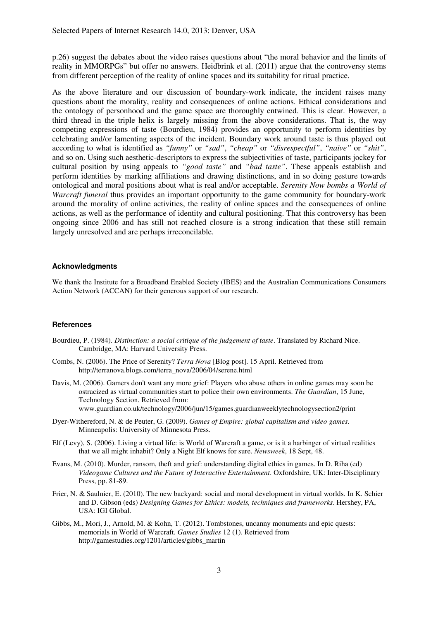p.26) suggest the debates about the video raises questions about "the moral behavior and the limits of reality in MMORPGs" but offer no answers. Heidbrink et al. (2011) argue that the controversy stems from different perception of the reality of online spaces and its suitability for ritual practice.

As the above literature and our discussion of boundary-work indicate, the incident raises many questions about the morality, reality and consequences of online actions. Ethical considerations and the ontology of personhood and the game space are thoroughly entwined. This is clear. However, a third thread in the triple helix is largely missing from the above considerations. That is, the way competing expressions of taste (Bourdieu, 1984) provides an opportunity to perform identities by celebrating and/or lamenting aspects of the incident. Boundary work around taste is thus played out according to what is identified as *"funny"* or *"sad"*, *"cheap"* or *"disrespectful"*, *"naïve"* or *"shit"*, and so on. Using such aesthetic-descriptors to express the subjectivities of taste, participants jockey for cultural position by using appeals to *"good taste"* and *"bad taste"*. These appeals establish and perform identities by marking affiliations and drawing distinctions, and in so doing gesture towards ontological and moral positions about what is real and/or acceptable. *Serenity Now bombs a World of Warcraft funeral* thus provides an important opportunity to the game community for boundary-work around the morality of online activities, the reality of online spaces and the consequences of online actions, as well as the performance of identity and cultural positioning. That this controversy has been ongoing since 2006 and has still not reached closure is a strong indication that these still remain largely unresolved and are perhaps irreconcilable.

### **Acknowledgments**

We thank the Institute for a Broadband Enabled Society (IBES) and the Australian Communications Consumers Action Network (ACCAN) for their generous support of our research.

#### **References**

- Bourdieu, P. (1984). *Distinction: a social critique of the judgement of taste*. Translated by Richard Nice. Cambridge, MA: Harvard University Press.
- Combs, N. (2006). The Price of Serenity? *Terra Nova* [Blog post]. 15 April. Retrieved from http://terranova.blogs.com/terra\_nova/2006/04/serene.html
- Davis, M. (2006). Gamers don't want any more grief: Players who abuse others in online games may soon be ostracized as virtual communities start to police their own environments. *The Guardian*, 15 June, Technology Section. Retrieved from: www.guardian.co.uk/technology/2006/jun/15/games.guardianweeklytechnologysection2/print
- Dyer-Withereford, N. & de Peuter, G. (2009). *Games of Empire: global capitalism and video games*. Minneapolis: University of Minnesota Press.
- Elf (Levy), S. (2006). Living a virtual life: is World of Warcraft a game, or is it a harbinger of virtual realities that we all might inhabit? Only a Night Elf knows for sure. *Newsweek*, 18 Sept, 48.
- Evans, M. (2010). Murder, ransom, theft and grief: understanding digital ethics in games. In D. Riha (ed) *Videogame Cultures and the Future of Interactive Entertainment*. Oxfordshire, UK: Inter-Disciplinary Press, pp. 81-89.
- Frier, N. & Saulnier, E. (2010). The new backyard: social and moral development in virtual worlds. In K. Schier and D. Gibson (eds) *Designing Games for Ethics: models, techniques and frameworks*. Hershey, PA, USA: IGI Global.
- Gibbs, M., Mori, J., Arnold, M. & Kohn, T. (2012). Tombstones, uncanny monuments and epic quests: memorials in World of Warcraft. *Games Studies* 12 (1). Retrieved from http://gamestudies.org/1201/articles/gibbs\_martin